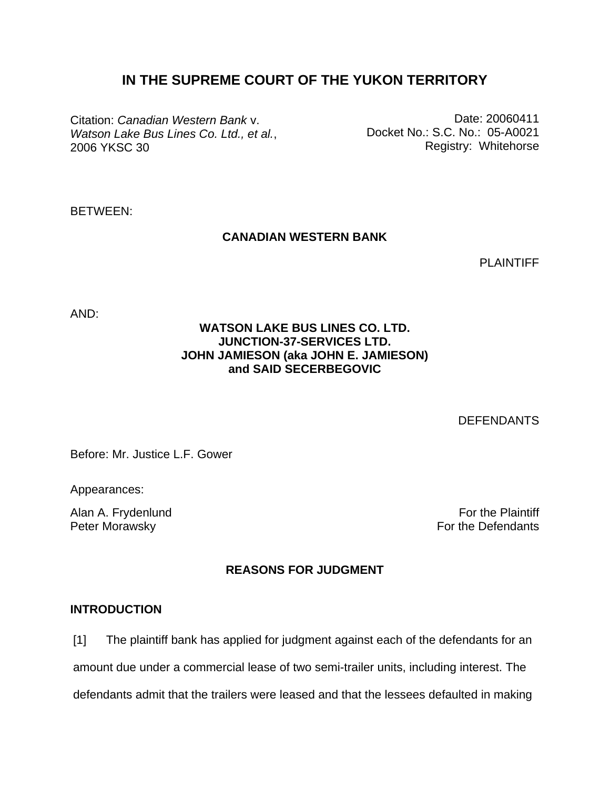# **IN THE SUPREME COURT OF THE YUKON TERRITORY**

Citation: *Canadian Western Bank* v. *Watson Lake Bus Lines Co. Ltd., et al.*, 2006 YKSC 30

Date: 20060411 Docket No.: S.C. No.: 05-A0021 Registry: Whitehorse

BETWEEN:

# **CANADIAN WESTERN BANK**

PLAINTIFF

AND:

# **WATSON LAKE BUS LINES CO. LTD. JUNCTION-37-SERVICES LTD. JOHN JAMIESON (aka JOHN E. JAMIESON) and SAID SECERBEGOVIC**

DEFENDANTS

Before: Mr. Justice L.F. Gower

Appearances:

Alan A. Frydenlund **For the Plaintiff** Peter Morawsky **For the Defendants** 

## **REASONS FOR JUDGMENT**

### **INTRODUCTION**

[1] The plaintiff bank has applied for judgment against each of the defendants for an amount due under a commercial lease of two semi-trailer units, including interest. The defendants admit that the trailers were leased and that the lessees defaulted in making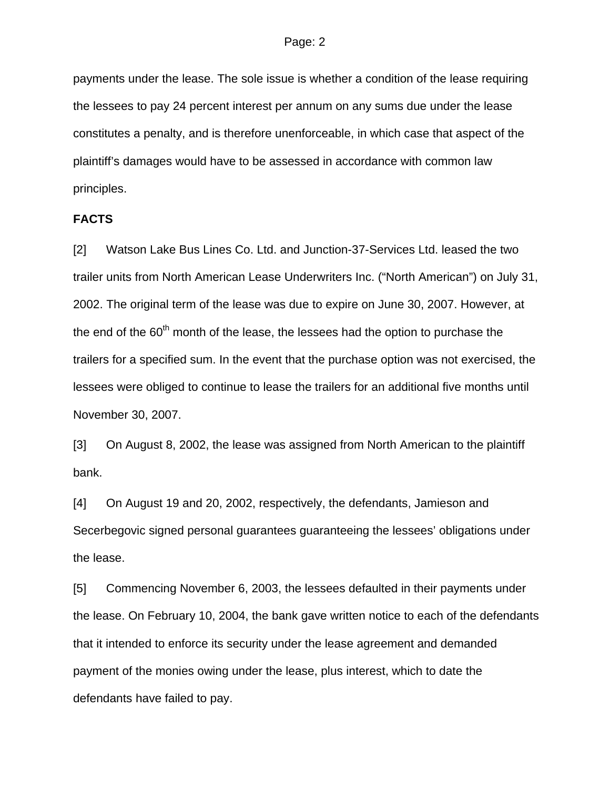payments under the lease. The sole issue is whether a condition of the lease requiring the lessees to pay 24 percent interest per annum on any sums due under the lease constitutes a penalty, and is therefore unenforceable, in which case that aspect of the plaintiff's damages would have to be assessed in accordance with common law principles.

### **FACTS**

[2] Watson Lake Bus Lines Co. Ltd. and Junction-37-Services Ltd. leased the two trailer units from North American Lease Underwriters Inc. ("North American") on July 31, 2002. The original term of the lease was due to expire on June 30, 2007. However, at the end of the  $60<sup>th</sup>$  month of the lease, the lessees had the option to purchase the trailers for a specified sum. In the event that the purchase option was not exercised, the lessees were obliged to continue to lease the trailers for an additional five months until November 30, 2007.

[3] On August 8, 2002, the lease was assigned from North American to the plaintiff bank.

[4] On August 19 and 20, 2002, respectively, the defendants, Jamieson and Secerbegovic signed personal guarantees guaranteeing the lessees' obligations under the lease.

[5] Commencing November 6, 2003, the lessees defaulted in their payments under the lease. On February 10, 2004, the bank gave written notice to each of the defendants that it intended to enforce its security under the lease agreement and demanded payment of the monies owing under the lease, plus interest, which to date the defendants have failed to pay.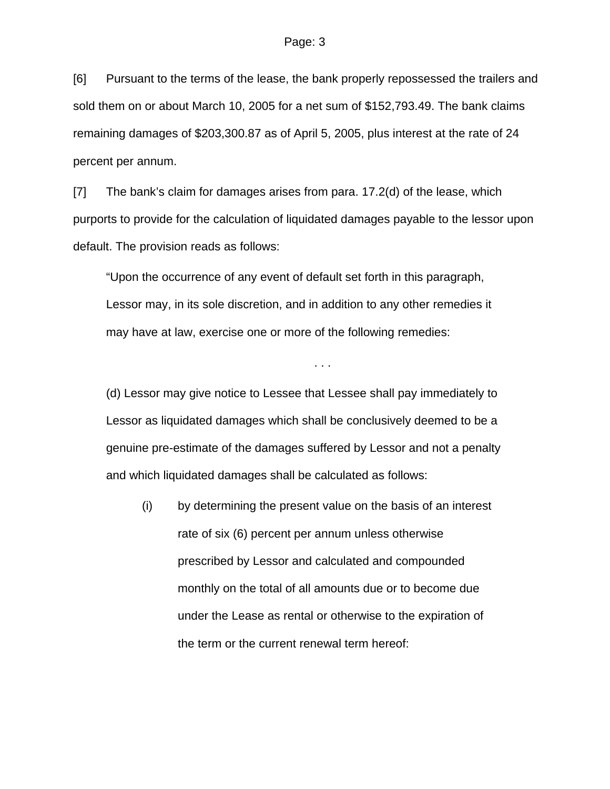[6] Pursuant to the terms of the lease, the bank properly repossessed the trailers and sold them on or about March 10, 2005 for a net sum of \$152,793.49. The bank claims remaining damages of \$203,300.87 as of April 5, 2005, plus interest at the rate of 24 percent per annum.

[7] The bank's claim for damages arises from para. 17.2(d) of the lease, which purports to provide for the calculation of liquidated damages payable to the lessor upon default. The provision reads as follows:

"Upon the occurrence of any event of default set forth in this paragraph, Lessor may, in its sole discretion, and in addition to any other remedies it may have at law, exercise one or more of the following remedies:

. . .

(d) Lessor may give notice to Lessee that Lessee shall pay immediately to Lessor as liquidated damages which shall be conclusively deemed to be a genuine pre-estimate of the damages suffered by Lessor and not a penalty and which liquidated damages shall be calculated as follows:

(i) by determining the present value on the basis of an interest rate of six (6) percent per annum unless otherwise prescribed by Lessor and calculated and compounded monthly on the total of all amounts due or to become due under the Lease as rental or otherwise to the expiration of the term or the current renewal term hereof: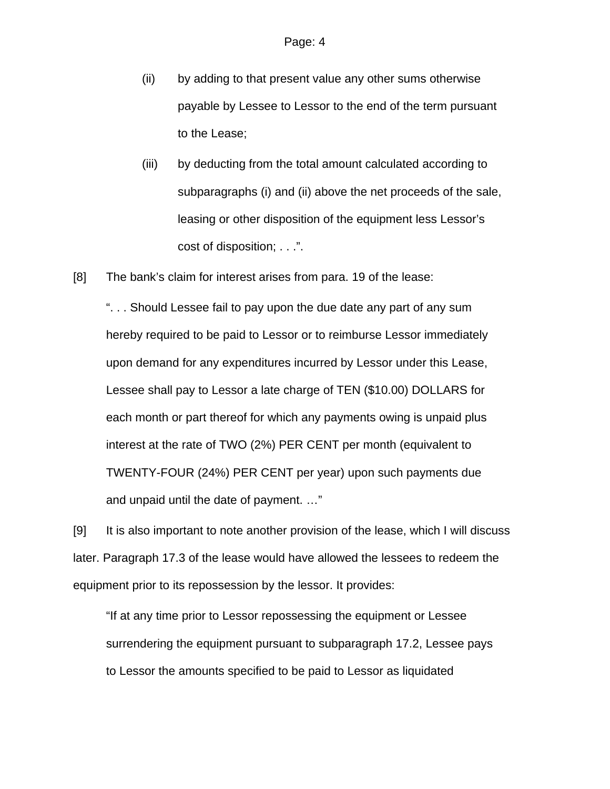- (ii) by adding to that present value any other sums otherwise payable by Lessee to Lessor to the end of the term pursuant to the Lease;
- (iii) by deducting from the total amount calculated according to subparagraphs (i) and (ii) above the net proceeds of the sale, leasing or other disposition of the equipment less Lessor's cost of disposition; . . .".
- [8] The bank's claim for interest arises from para. 19 of the lease:

". . . Should Lessee fail to pay upon the due date any part of any sum hereby required to be paid to Lessor or to reimburse Lessor immediately upon demand for any expenditures incurred by Lessor under this Lease, Lessee shall pay to Lessor a late charge of TEN (\$10.00) DOLLARS for each month or part thereof for which any payments owing is unpaid plus interest at the rate of TWO (2%) PER CENT per month (equivalent to TWENTY-FOUR (24%) PER CENT per year) upon such payments due and unpaid until the date of payment. …"

[9] It is also important to note another provision of the lease, which I will discuss later. Paragraph 17.3 of the lease would have allowed the lessees to redeem the equipment prior to its repossession by the lessor. It provides:

"If at any time prior to Lessor repossessing the equipment or Lessee surrendering the equipment pursuant to subparagraph 17.2, Lessee pays to Lessor the amounts specified to be paid to Lessor as liquidated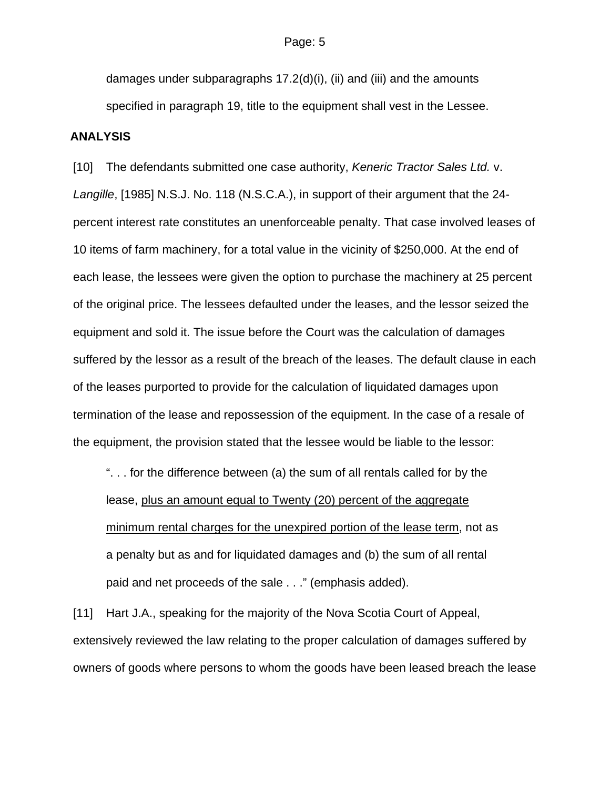damages under subparagraphs  $17.2(d)(i)$ , (ii) and (iii) and the amounts specified in paragraph 19, title to the equipment shall vest in the Lessee.

#### **ANALYSIS**

[10] The defendants submitted one case authority, *Keneric Tractor Sales Ltd.* v. *Langille*, [1985] N.S.J. No. 118 (N.S.C.A.), in support of their argument that the 24 percent interest rate constitutes an unenforceable penalty. That case involved leases of 10 items of farm machinery, for a total value in the vicinity of \$250,000. At the end of each lease, the lessees were given the option to purchase the machinery at 25 percent of the original price. The lessees defaulted under the leases, and the lessor seized the equipment and sold it. The issue before the Court was the calculation of damages suffered by the lessor as a result of the breach of the leases. The default clause in each of the leases purported to provide for the calculation of liquidated damages upon termination of the lease and repossession of the equipment. In the case of a resale of the equipment, the provision stated that the lessee would be liable to the lessor:

". . . for the difference between (a) the sum of all rentals called for by the lease, plus an amount equal to Twenty (20) percent of the aggregate minimum rental charges for the unexpired portion of the lease term, not as a penalty but as and for liquidated damages and (b) the sum of all rental paid and net proceeds of the sale . . ." (emphasis added).

[11] Hart J.A., speaking for the majority of the Nova Scotia Court of Appeal, extensively reviewed the law relating to the proper calculation of damages suffered by owners of goods where persons to whom the goods have been leased breach the lease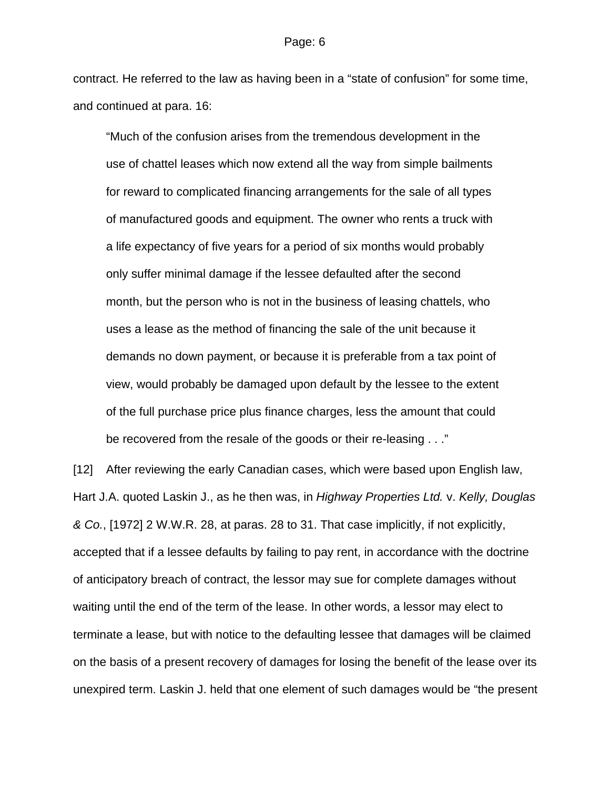contract. He referred to the law as having been in a "state of confusion" for some time, and continued at para. 16:

"Much of the confusion arises from the tremendous development in the use of chattel leases which now extend all the way from simple bailments for reward to complicated financing arrangements for the sale of all types of manufactured goods and equipment. The owner who rents a truck with a life expectancy of five years for a period of six months would probably only suffer minimal damage if the lessee defaulted after the second month, but the person who is not in the business of leasing chattels, who uses a lease as the method of financing the sale of the unit because it demands no down payment, or because it is preferable from a tax point of view, would probably be damaged upon default by the lessee to the extent of the full purchase price plus finance charges, less the amount that could be recovered from the resale of the goods or their re-leasing . . ."

[12] After reviewing the early Canadian cases, which were based upon English law, Hart J.A. quoted Laskin J., as he then was, in *Highway Properties Ltd.* v. *Kelly, Douglas & Co.*, [1972] 2 W.W.R. 28, at paras. 28 to 31. That case implicitly, if not explicitly, accepted that if a lessee defaults by failing to pay rent, in accordance with the doctrine of anticipatory breach of contract, the lessor may sue for complete damages without waiting until the end of the term of the lease. In other words, a lessor may elect to terminate a lease, but with notice to the defaulting lessee that damages will be claimed on the basis of a present recovery of damages for losing the benefit of the lease over its unexpired term. Laskin J. held that one element of such damages would be "the present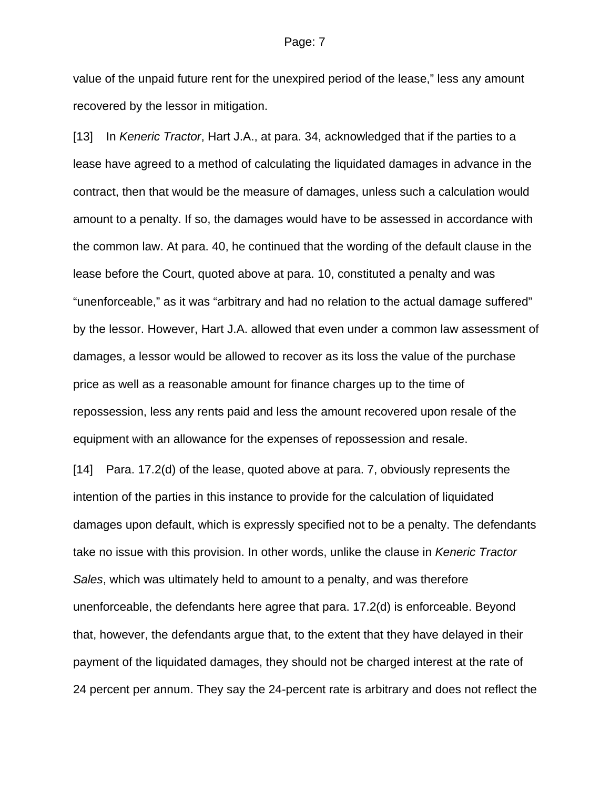#### Page: 7

value of the unpaid future rent for the unexpired period of the lease," less any amount recovered by the lessor in mitigation.

[13] In *Keneric Tractor*, Hart J.A., at para. 34, acknowledged that if the parties to a lease have agreed to a method of calculating the liquidated damages in advance in the contract, then that would be the measure of damages, unless such a calculation would amount to a penalty. If so, the damages would have to be assessed in accordance with the common law. At para. 40, he continued that the wording of the default clause in the lease before the Court, quoted above at para. 10, constituted a penalty and was "unenforceable," as it was "arbitrary and had no relation to the actual damage suffered" by the lessor. However, Hart J.A. allowed that even under a common law assessment of damages, a lessor would be allowed to recover as its loss the value of the purchase price as well as a reasonable amount for finance charges up to the time of repossession, less any rents paid and less the amount recovered upon resale of the equipment with an allowance for the expenses of repossession and resale.

[14] Para. 17.2(d) of the lease, quoted above at para. 7, obviously represents the intention of the parties in this instance to provide for the calculation of liquidated damages upon default, which is expressly specified not to be a penalty. The defendants take no issue with this provision. In other words, unlike the clause in *Keneric Tractor Sales*, which was ultimately held to amount to a penalty, and was therefore unenforceable, the defendants here agree that para. 17.2(d) is enforceable. Beyond that, however, the defendants argue that, to the extent that they have delayed in their payment of the liquidated damages, they should not be charged interest at the rate of 24 percent per annum. They say the 24-percent rate is arbitrary and does not reflect the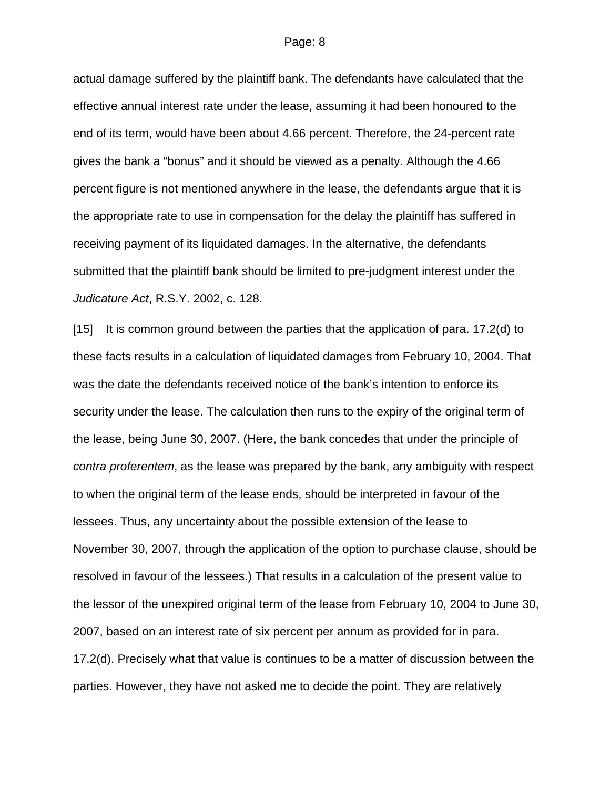actual damage suffered by the plaintiff bank. The defendants have calculated that the effective annual interest rate under the lease, assuming it had been honoured to the end of its term, would have been about 4.66 percent. Therefore, the 24-percent rate gives the bank a "bonus" and it should be viewed as a penalty. Although the 4.66 percent figure is not mentioned anywhere in the lease, the defendants argue that it is the appropriate rate to use in compensation for the delay the plaintiff has suffered in receiving payment of its liquidated damages. In the alternative, the defendants submitted that the plaintiff bank should be limited to pre-judgment interest under the *Judicature Act*, R.S.Y. 2002, c. 128.

[15] It is common ground between the parties that the application of para. 17.2(d) to these facts results in a calculation of liquidated damages from February 10, 2004. That was the date the defendants received notice of the bank's intention to enforce its security under the lease. The calculation then runs to the expiry of the original term of the lease, being June 30, 2007. (Here, the bank concedes that under the principle of *contra proferentem*, as the lease was prepared by the bank, any ambiguity with respect to when the original term of the lease ends, should be interpreted in favour of the lessees. Thus, any uncertainty about the possible extension of the lease to November 30, 2007, through the application of the option to purchase clause, should be resolved in favour of the lessees.) That results in a calculation of the present value to the lessor of the unexpired original term of the lease from February 10, 2004 to June 30, 2007, based on an interest rate of six percent per annum as provided for in para. 17.2(d). Precisely what that value is continues to be a matter of discussion between the parties. However, they have not asked me to decide the point. They are relatively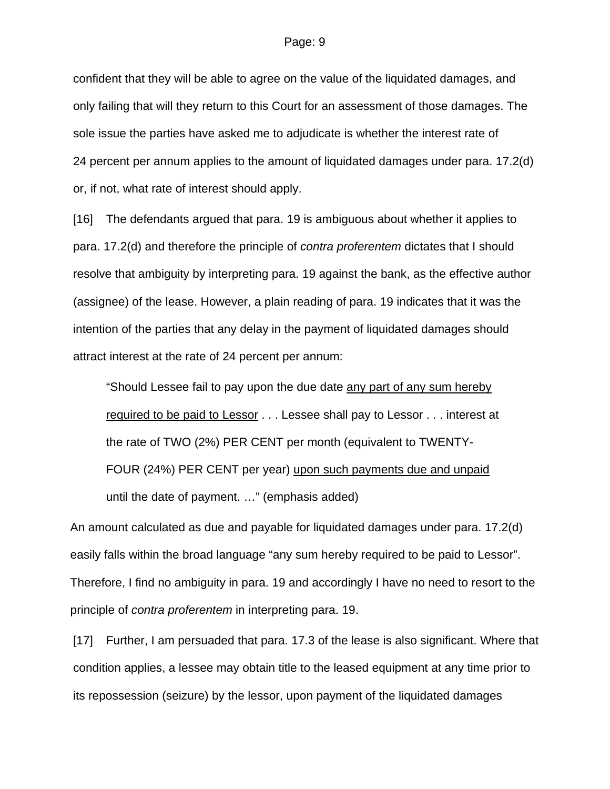confident that they will be able to agree on the value of the liquidated damages, and only failing that will they return to this Court for an assessment of those damages. The sole issue the parties have asked me to adjudicate is whether the interest rate of 24 percent per annum applies to the amount of liquidated damages under para. 17.2(d) or, if not, what rate of interest should apply.

[16] The defendants argued that para. 19 is ambiguous about whether it applies to para. 17.2(d) and therefore the principle of *contra proferentem* dictates that I should resolve that ambiguity by interpreting para. 19 against the bank, as the effective author (assignee) of the lease. However, a plain reading of para. 19 indicates that it was the intention of the parties that any delay in the payment of liquidated damages should attract interest at the rate of 24 percent per annum:

"Should Lessee fail to pay upon the due date any part of any sum hereby required to be paid to Lessor . . . Lessee shall pay to Lessor . . . interest at the rate of TWO (2%) PER CENT per month (equivalent to TWENTY-FOUR (24%) PER CENT per year) upon such payments due and unpaid until the date of payment. …" (emphasis added)

An amount calculated as due and payable for liquidated damages under para. 17.2(d) easily falls within the broad language "any sum hereby required to be paid to Lessor". Therefore, I find no ambiguity in para. 19 and accordingly I have no need to resort to the principle of *contra proferentem* in interpreting para. 19.

[17] Further, I am persuaded that para. 17.3 of the lease is also significant. Where that condition applies, a lessee may obtain title to the leased equipment at any time prior to its repossession (seizure) by the lessor, upon payment of the liquidated damages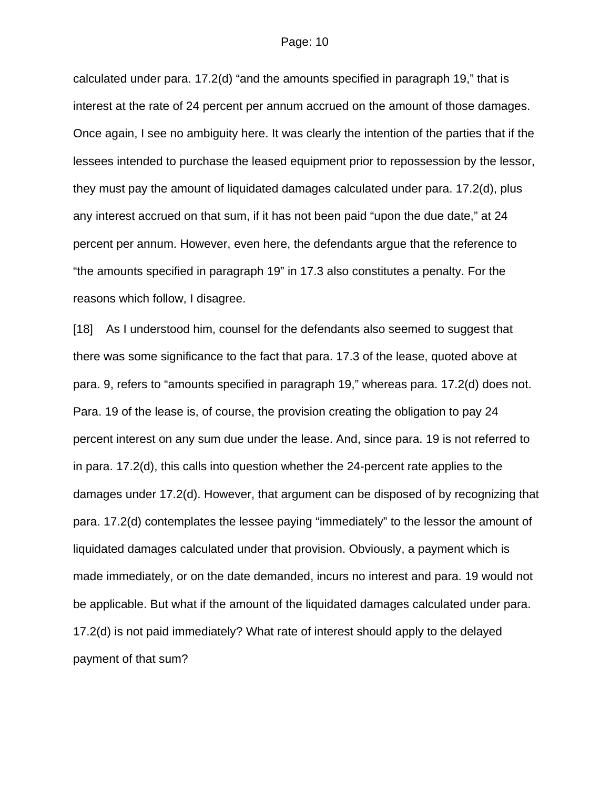#### Page: 10

calculated under para. 17.2(d) "and the amounts specified in paragraph 19," that is interest at the rate of 24 percent per annum accrued on the amount of those damages. Once again, I see no ambiguity here. It was clearly the intention of the parties that if the lessees intended to purchase the leased equipment prior to repossession by the lessor, they must pay the amount of liquidated damages calculated under para. 17.2(d), plus any interest accrued on that sum, if it has not been paid "upon the due date," at 24 percent per annum. However, even here, the defendants argue that the reference to "the amounts specified in paragraph 19" in 17.3 also constitutes a penalty. For the reasons which follow, I disagree.

[18] As I understood him, counsel for the defendants also seemed to suggest that there was some significance to the fact that para. 17.3 of the lease, quoted above at para. 9, refers to "amounts specified in paragraph 19," whereas para. 17.2(d) does not. Para. 19 of the lease is, of course, the provision creating the obligation to pay 24 percent interest on any sum due under the lease. And, since para. 19 is not referred to in para. 17.2(d), this calls into question whether the 24-percent rate applies to the damages under 17.2(d). However, that argument can be disposed of by recognizing that para. 17.2(d) contemplates the lessee paying "immediately" to the lessor the amount of liquidated damages calculated under that provision. Obviously, a payment which is made immediately, or on the date demanded, incurs no interest and para. 19 would not be applicable. But what if the amount of the liquidated damages calculated under para. 17.2(d) is not paid immediately? What rate of interest should apply to the delayed payment of that sum?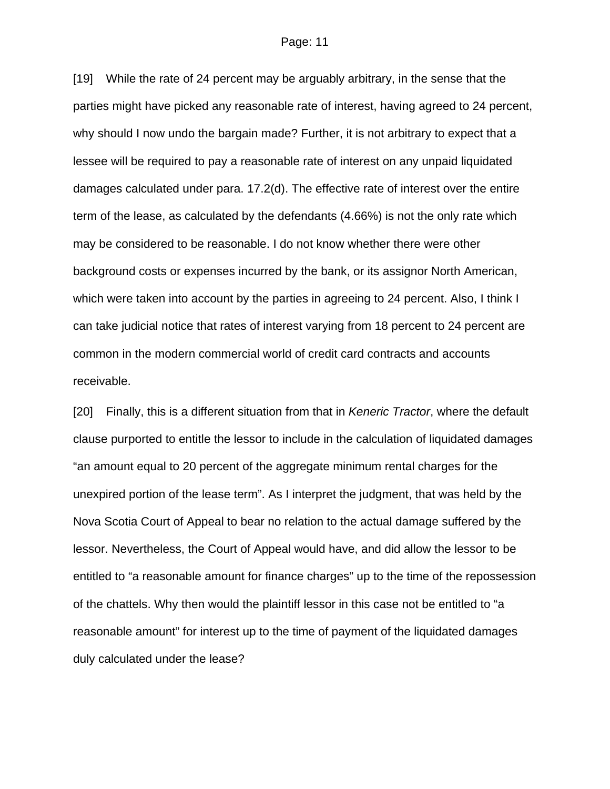#### Page: 11

[19] While the rate of 24 percent may be arguably arbitrary, in the sense that the parties might have picked any reasonable rate of interest, having agreed to 24 percent, why should I now undo the bargain made? Further, it is not arbitrary to expect that a lessee will be required to pay a reasonable rate of interest on any unpaid liquidated damages calculated under para. 17.2(d). The effective rate of interest over the entire term of the lease, as calculated by the defendants (4.66%) is not the only rate which may be considered to be reasonable. I do not know whether there were other background costs or expenses incurred by the bank, or its assignor North American, which were taken into account by the parties in agreeing to 24 percent. Also, I think I can take judicial notice that rates of interest varying from 18 percent to 24 percent are common in the modern commercial world of credit card contracts and accounts receivable.

[20] Finally, this is a different situation from that in *Keneric Tractor*, where the default clause purported to entitle the lessor to include in the calculation of liquidated damages "an amount equal to 20 percent of the aggregate minimum rental charges for the unexpired portion of the lease term". As I interpret the judgment, that was held by the Nova Scotia Court of Appeal to bear no relation to the actual damage suffered by the lessor. Nevertheless, the Court of Appeal would have, and did allow the lessor to be entitled to "a reasonable amount for finance charges" up to the time of the repossession of the chattels. Why then would the plaintiff lessor in this case not be entitled to "a reasonable amount" for interest up to the time of payment of the liquidated damages duly calculated under the lease?